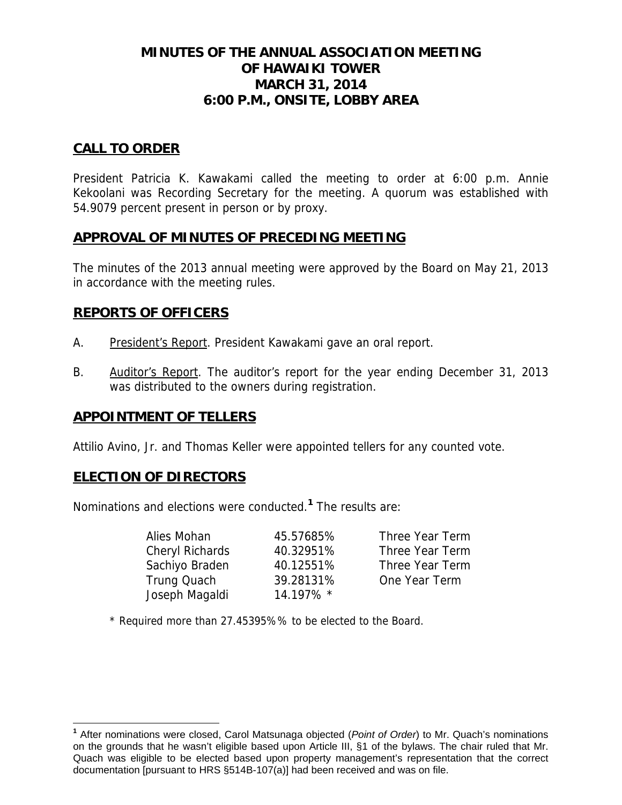# **MINUTES OF THE ANNUAL ASSOCIATION MEETING OF HAWAIKI TOWER MARCH 31, 2014 6:00 P.M., ONSITE, LOBBY AREA**

## **CALL TO ORDER**

President Patricia K. Kawakami called the meeting to order at 6:00 p.m. Annie Kekoolani was Recording Secretary for the meeting. A quorum was established with 54.9079 percent present in person or by proxy.

### **APPROVAL OF MINUTES OF PRECEDING MEETING**

The minutes of the 2013 annual meeting were approved by the Board on May 21, 2013 in accordance with the meeting rules.

## **REPORTS OF OFFICERS**

- A. President's Report. President Kawakami gave an oral report.
- B. Auditor's Report. The auditor's report for the year ending December 31, 2013 was distributed to the owners during registration.

### **APPOINTMENT OF TELLERS**

Attilio Avino, Jr. and Thomas Keller were appointed tellers for any counted vote.

# **ELECTION OF DIRECTORS**

 $\overline{a}$ 

Nominations and elections were conducted.**<sup>1</sup>** The results are:

| Alies Mohan     | 45.57685% | Three Year Term |
|-----------------|-----------|-----------------|
| Cheryl Richards | 40.32951% | Three Year Term |
| Sachiyo Braden  | 40.12551% | Three Year Term |
| Trung Quach     | 39.28131% | One Year Term   |
| Joseph Magaldi  | 14.197% * |                 |

\* Required more than 27.45395%% to be elected to the Board.

**<sup>1</sup>** After nominations were closed, Carol Matsunaga objected (*Point of Order*) to Mr. Quach's nominations on the grounds that he wasn't eligible based upon Article III, §1 of the bylaws. The chair ruled that Mr. Quach was eligible to be elected based upon property management's representation that the correct documentation [pursuant to HRS §514B-107(a)] had been received and was on file.